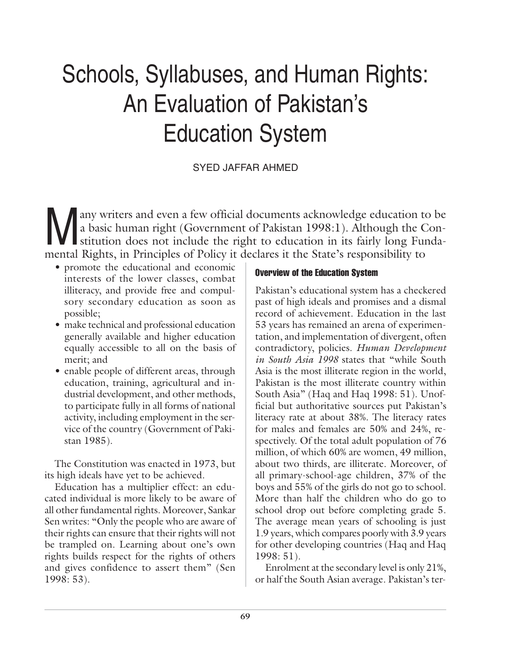# Schools, Syllabuses, and Human Rights: An Evaluation of Pakistan's Education System

SYED JAFFAR AHMED

Many writers and even a few official documents acknowledge education to be<br>a basic human right (Government of Pakistan 1998:1). Although the Constitution does not include the right to education in its fairly long Funda-<br>me a basic human right (Government of Pakistan 1998:1). Although the Constitution does not include the right to education in its fairly long Fundamental Rights, in Principles of Policy it declares it the State's responsibility to

- promote the educational and economic interests of the lower classes, combat illiteracy, and provide free and compulsory secondary education as soon as possible;
- make technical and professional education generally available and higher education equally accessible to all on the basis of merit; and
- enable people of different areas, through education, training, agricultural and industrial development, and other methods, to participate fully in all forms of national activity, including employment in the service of the country (Government of Pakistan 1985).

The Constitution was enacted in 1973, but its high ideals have yet to be achieved.

Education has a multiplier effect: an educated individual is more likely to be aware of all other fundamental rights. Moreover, Sankar Sen writes: "Only the people who are aware of their rights can ensure that their rights will not be trampled on. Learning about one's own rights builds respect for the rights of others and gives confidence to assert them" (Sen 1998: 53).

# Overview of the Education System

Pakistan's educational system has a checkered past of high ideals and promises and a dismal record of achievement. Education in the last 53 years has remained an arena of experimentation, and implementation of divergent, often contradictory, policies. *Human Development in South Asia 1998* states that "while South Asia is the most illiterate region in the world, Pakistan is the most illiterate country within South Asia" (Haq and Haq 1998: 51). Unofficial but authoritative sources put Pakistan's literacy rate at about 38%. The literacy rates for males and females are 50% and 24%, respectively. Of the total adult population of 76 million, of which 60% are women, 49 million, about two thirds, are illiterate. Moreover, of all primary-school-age children, 37% of the boys and 55% of the girls do not go to school. More than half the children who do go to school drop out before completing grade 5. The average mean years of schooling is just 1.9 years, which compares poorly with 3.9 years for other developing countries (Haq and Haq 1998: 51).

Enrolment at the secondary level is only 21%, or half the South Asian average. Pakistan's ter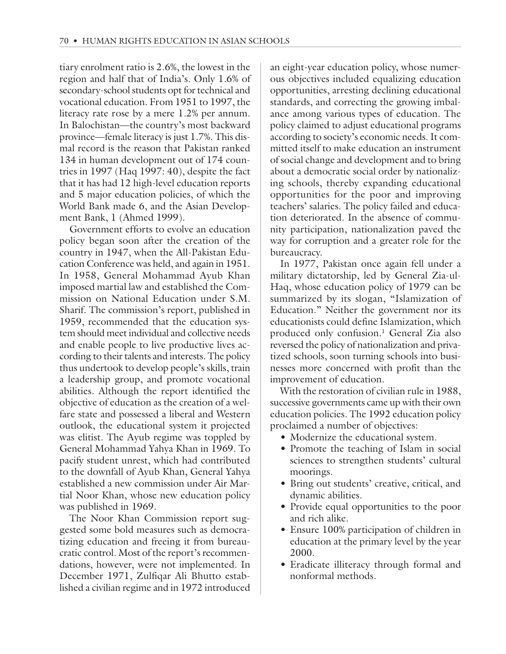tiary enrolment ratio is 2.6%, the lowest in the region and half that of India's. Only 1.6% of secondary-school students opt for technical and vocational education. From 1951 to 1997, the literacy rate rose by a mere 1.2% per annum. In Balochistan—the country's most backward province—female literacy is just 1.7%. This dismal record is the reason that Pakistan ranked 134 in human development out of 174 countries in 1997 (Haq 1997: 40), despite the fact that it has had 12 high-level education reports and 5 major education policies, of which the World Bank made 6, and the Asian Development Bank, 1 (Ahmed 1999).

Government efforts to evolve an education policy began soon after the creation of the country in 1947, when the All-Pakistan Education Conference was held, and again in 1951. In 1958, General Mohammad Ayub Khan imposed martial law and established the Commission on National Education under S.M. Sharif. The commission's report, published in 1959, recommended that the education system should meet individual and collective needs and enable people to live productive lives according to their talents and interests. The policy thus undertook to develop people's skills, train a leadership group, and promote vocational abilities. Although the report identified the objective of education as the creation of a welfare state and possessed a liberal and Western outlook, the educational system it projected was elitist. The Ayub regime was toppled by General Mohammad Yahya Khan in 1969. To pacify student unrest, which had contributed to the downfall of Ayub Khan, General Yahya established a new commission under Air Martial Noor Khan, whose new education policy was published in 1969.

The Noor Khan Commission report suggested some bold measures such as democratizing education and freeing it from bureaucratic control. Most of the report's recommendations, however, were not implemented. In December 1971, Zulfiqar Ali Bhutto established a civilian regime and in 1972 introduced an eight-year education policy, whose numerous objectives included equalizing education opportunities, arresting declining educational standards, and correcting the growing imbalance among various types of education. The policy claimed to adjust educational programs according to society's economic needs. It committed itself to make education an instrument of social change and development and to bring about a democratic social order by nationalizing schools, thereby expanding educational opportunities for the poor and improving teachers' salaries. The policy failed and education deteriorated. In the absence of community participation, nationalization paved the way for corruption and a greater role for the bureaucracy.

In 1977, Pakistan once again fell under a military dictatorship, led by General Zia-ul-Haq, whose education policy of 1979 can be summarized by its slogan, "Islamization of Education." Neither the government nor its educationists could define Islamization, which produced only confusion.<sup>1</sup> General Zia also reversed the policy of nationalization and privatized schools, soon turning schools into businesses more concerned with profit than the improvement of education.

With the restoration of civilian rule in 1988, successive governments came up with their own education policies. The 1992 education policy proclaimed a number of objectives:

- Modernize the educational system.
- Promote the teaching of Islam in social sciences to strengthen students' cultural moorings.
- Bring out students' creative, critical, and dynamic abilities.
- Provide equal opportunities to the poor and rich alike.
- Ensure 100% participation of children in education at the primary level by the year 2000.
- Eradicate illiteracy through formal and nonformal methods.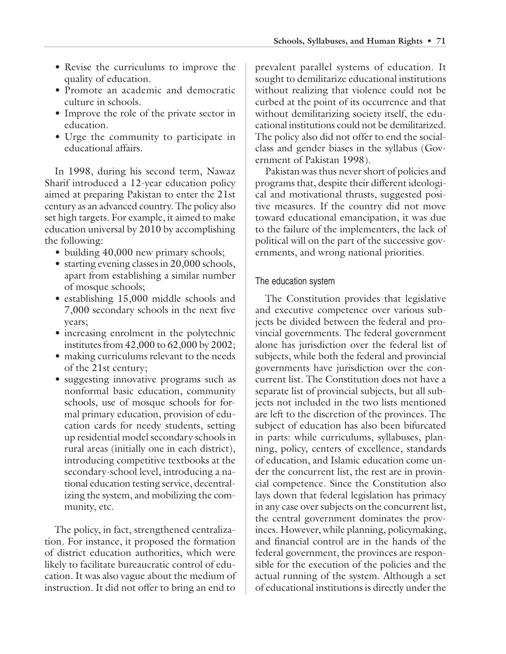- Revise the curriculums to improve the quality of education.
- Promote an academic and democratic culture in schools.
- Improve the role of the private sector in education.
- Urge the community to participate in educational affairs.

In 1998, during his second term, Nawaz Sharif introduced a 12-year education policy aimed at preparing Pakistan to enter the 21st century as an advanced country. The policy also set high targets. For example, it aimed to make education universal by 2010 by accomplishing the following:

- building 40,000 new primary schools;
- starting evening classes in 20,000 schools, apart from establishing a similar number of mosque schools;
- establishing 15,000 middle schools and 7,000 secondary schools in the next five years;
- increasing enrolment in the polytechnic institutes from 42,000 to 62,000 by 2002;
- making curriculums relevant to the needs of the 21st century;
- suggesting innovative programs such as nonformal basic education, community schools, use of mosque schools for formal primary education, provision of education cards for needy students, setting up residential model secondary schools in rural areas (initially one in each district), introducing competitive textbooks at the secondary-school level, introducing a national education testing service, decentralizing the system, and mobilizing the community, etc.

The policy, in fact, strengthened centralization. For instance, it proposed the formation of district education authorities, which were likely to facilitate bureaucratic control of education. It was also vague about the medium of instruction. It did not offer to bring an end to

prevalent parallel systems of education. It sought to demilitarize educational institutions without realizing that violence could not be curbed at the point of its occurrence and that without demilitarizing society itself, the educational institutions could not be demilitarized. The policy also did not offer to end the socialclass and gender biases in the syllabus (Government of Pakistan 1998).

Pakistan was thus never short of policies and programs that, despite their different ideological and motivational thrusts, suggested positive measures. If the country did not move toward educational emancipation, it was due to the failure of the implementers, the lack of political will on the part of the successive governments, and wrong national priorities.

# The education system

The Constitution provides that legislative and executive competence over various subjects be divided between the federal and provincial governments. The federal government alone has jurisdiction over the federal list of subjects, while both the federal and provincial governments have jurisdiction over the concurrent list. The Constitution does not have a separate list of provincial subjects, but all subjects not included in the two lists mentioned are left to the discretion of the provinces. The subject of education has also been bifurcated in parts: while curriculums, syllabuses, planning, policy, centers of excellence, standards of education, and Islamic education come under the concurrent list, the rest are in provincial competence. Since the Constitution also lays down that federal legislation has primacy in any case over subjects on the concurrent list, the central government dominates the provinces. However, while planning, policymaking, and financial control are in the hands of the federal government, the provinces are responsible for the execution of the policies and the actual running of the system. Although a set of educational institutions is directly under the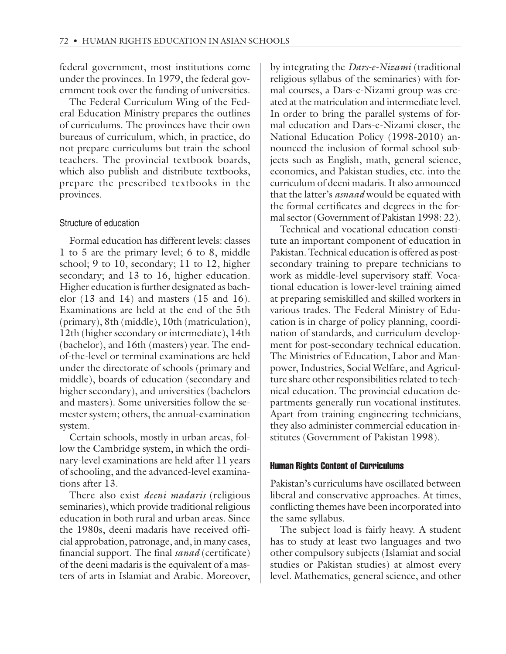federal government, most institutions come under the provinces. In 1979, the federal government took over the funding of universities.

The Federal Curriculum Wing of the Federal Education Ministry prepares the outlines of curriculums. The provinces have their own bureaus of curriculum, which, in practice, do not prepare curriculums but train the school teachers. The provincial textbook boards, which also publish and distribute textbooks, prepare the prescribed textbooks in the provinces.

### Structure of education

Formal education has different levels: classes 1 to 5 are the primary level; 6 to 8, middle school; 9 to 10, secondary; 11 to 12, higher secondary; and 13 to 16, higher education. Higher education is further designated as bachelor (13 and 14) and masters (15 and 16). Examinations are held at the end of the 5th (primary), 8th (middle), 10th (matriculation), 12th (higher secondary or intermediate), 14th (bachelor), and 16th (masters) year. The endof-the-level or terminal examinations are held under the directorate of schools (primary and middle), boards of education (secondary and higher secondary), and universities (bachelors and masters). Some universities follow the semester system; others, the annual-examination system.

Certain schools, mostly in urban areas, follow the Cambridge system, in which the ordinary-level examinations are held after 11 years of schooling, and the advanced-level examinations after 13.

There also exist *deeni madaris* (religious seminaries), which provide traditional religious education in both rural and urban areas. Since the 1980s, deeni madaris have received official approbation, patronage, and, in many cases, financial support. The final *sanad* (certificate) of the deeni madaris is the equivalent of a masters of arts in Islamiat and Arabic. Moreover,

by integrating the *Dars-e-Nizami* (traditional religious syllabus of the seminaries) with formal courses, a Dars-e-Nizami group was created at the matriculation and intermediate level. In order to bring the parallel systems of formal education and Dars-e-Nizami closer, the National Education Policy (1998-2010) announced the inclusion of formal school subjects such as English, math, general science, economics, and Pakistan studies, etc. into the curriculum of deeni madaris. It also announced that the latter's *asnaad* would be equated with the formal certificates and degrees in the formal sector (Government of Pakistan 1998: 22).

Technical and vocational education constitute an important component of education in Pakistan. Technical education is offered as postsecondary training to prepare technicians to work as middle-level supervisory staff. Vocational education is lower-level training aimed at preparing semiskilled and skilled workers in various trades. The Federal Ministry of Education is in charge of policy planning, coordination of standards, and curriculum development for post-secondary technical education. The Ministries of Education, Labor and Manpower, Industries, Social Welfare, and Agriculture share other responsibilities related to technical education. The provincial education departments generally run vocational institutes. Apart from training engineering technicians, they also administer commercial education institutes (Government of Pakistan 1998).

#### Human Rights Content of Curriculums

Pakistan's curriculums have oscillated between liberal and conservative approaches. At times, conflicting themes have been incorporated into the same syllabus.

The subject load is fairly heavy. A student has to study at least two languages and two other compulsory subjects (Islamiat and social studies or Pakistan studies) at almost every level. Mathematics, general science, and other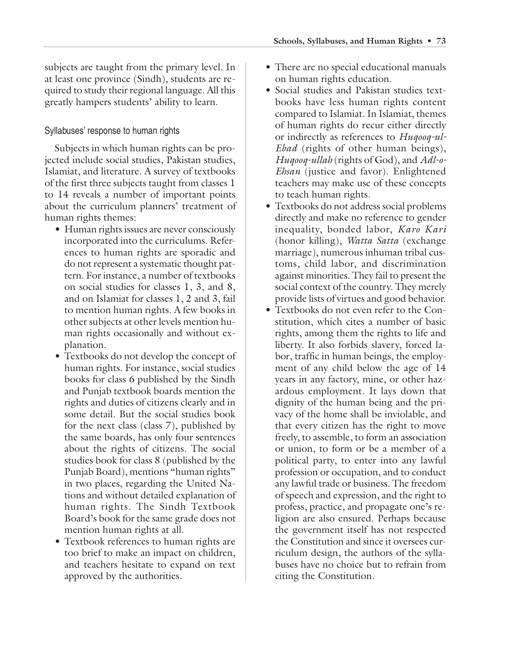subjects are taught from the primary level. In at least one province (Sindh), students are required to study their regional language. All this greatly hampers students' ability to learn.

# Syllabuses' response to human rights

Subjects in which human rights can be projected include social studies, Pakistan studies, Islamiat, and literature. A survey of textbooks of the first three subjects taught from classes 1 to 14 reveals a number of important points about the curriculum planners' treatment of human rights themes:

- Human rights issues are never consciously incorporated into the curriculums. References to human rights are sporadic and do not represent a systematic thought pattern. For instance, a number of textbooks on social studies for classes 1, 3, and 8, and on Islamiat for classes 1, 2 and 3, fail to mention human rights. A few books in other subjects at other levels mention human rights occasionally and without explanation.
- Textbooks do not develop the concept of human rights. For instance, social studies books for class 6 published by the Sindh and Punjab textbook boards mention the rights and duties of citizens clearly and in some detail. But the social studies book for the next class (class 7), published by the same boards, has only four sentences about the rights of citizens. The social studies book for class 8 (published by the Punjab Board), mentions "human rights" in two places, regarding the United Nations and without detailed explanation of human rights. The Sindh Textbook Board's book for the same grade does not mention human rights at all.
- Textbook references to human rights are too brief to make an impact on children, and teachers hesitate to expand on text approved by the authorities.
- There are no special educational manuals on human rights education.
- Social studies and Pakistan studies textbooks have less human rights content compared to Islamiat. In Islamiat, themes of human rights do recur either directly or indirectly as references to *Huqooq-ul-Ebad* (rights of other human beings), *Huqooq-ullah* (rights of God), and *Adl-o-Ehsan* (justice and favor). Enlightened teachers may make use of these concepts to teach human rights.
- Textbooks do not address social problems directly and make no reference to gender inequality, bonded labor, *Karo Kari* (honor killing), *Watta Satta* (exchange marriage), numerous inhuman tribal customs, child labor, and discrimination against minorities. They fail to present the social context of the country. They merely provide lists of virtues and good behavior.
- Textbooks do not even refer to the Constitution, which cites a number of basic rights, among them the rights to life and liberty. It also forbids slavery, forced labor, traffic in human beings, the employment of any child below the age of 14 years in any factory, mine, or other hazardous employment. It lays down that dignity of the human being and the privacy of the home shall be inviolable, and that every citizen has the right to move freely, to assemble, to form an association or union, to form or be a member of a political party, to enter into any lawful profession or occupation, and to conduct any lawful trade or business. The freedom of speech and expression, and the right to profess, practice, and propagate one's religion are also ensured. Perhaps because the government itself has not respected the Constitution and since it oversees curriculum design, the authors of the syllabuses have no choice but to refrain from citing the Constitution.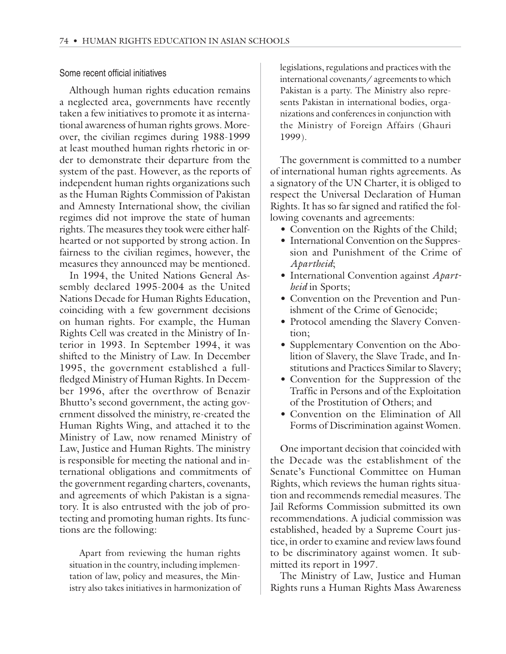#### Some recent official initiatives

Although human rights education remains a neglected area, governments have recently taken a few initiatives to promote it as international awareness of human rights grows. Moreover, the civilian regimes during 1988-1999 at least mouthed human rights rhetoric in order to demonstrate their departure from the system of the past. However, as the reports of independent human rights organizations such as the Human Rights Commission of Pakistan and Amnesty International show, the civilian regimes did not improve the state of human rights. The measures they took were either halfhearted or not supported by strong action. In fairness to the civilian regimes, however, the measures they announced may be mentioned.

In 1994, the United Nations General Assembly declared 1995-2004 as the United Nations Decade for Human Rights Education, coinciding with a few government decisions on human rights. For example, the Human Rights Cell was created in the Ministry of Interior in 1993. In September 1994, it was shifted to the Ministry of Law. In December 1995, the government established a fullfledged Ministry of Human Rights. In December 1996, after the overthrow of Benazir Bhutto's second government, the acting government dissolved the ministry, re-created the Human Rights Wing, and attached it to the Ministry of Law, now renamed Ministry of Law, Justice and Human Rights. The ministry is responsible for meeting the national and international obligations and commitments of the government regarding charters, covenants, and agreements of which Pakistan is a signatory. It is also entrusted with the job of protecting and promoting human rights. Its functions are the following:

Apart from reviewing the human rights situation in the country, including implementation of law, policy and measures, the Ministry also takes initiatives in harmonization of legislations, regulations and practices with the international covenants/ agreements to which Pakistan is a party. The Ministry also represents Pakistan in international bodies, organizations and conferences in conjunction with the Ministry of Foreign Affairs (Ghauri 1999).

The government is committed to a number of international human rights agreements. As a signatory of the UN Charter, it is obliged to respect the Universal Declaration of Human Rights. It has so far signed and ratified the following covenants and agreements:

- Convention on the Rights of the Child;
- International Convention on the Suppression and Punishment of the Crime of *Apartheid*;
- International Convention against *Apartheid* in Sports;
- Convention on the Prevention and Punishment of the Crime of Genocide;
- Protocol amending the Slavery Convention;
- Supplementary Convention on the Abolition of Slavery, the Slave Trade, and Institutions and Practices Similar to Slavery;
- Convention for the Suppression of the Traffic in Persons and of the Exploitation of the Prostitution of Others; and
- Convention on the Elimination of All Forms of Discrimination against Women.

One important decision that coincided with the Decade was the establishment of the Senate's Functional Committee on Human Rights, which reviews the human rights situation and recommends remedial measures. The Jail Reforms Commission submitted its own recommendations. A judicial commission was established, headed by a Supreme Court justice, in order to examine and review laws found to be discriminatory against women. It submitted its report in 1997.

The Ministry of Law, Justice and Human Rights runs a Human Rights Mass Awareness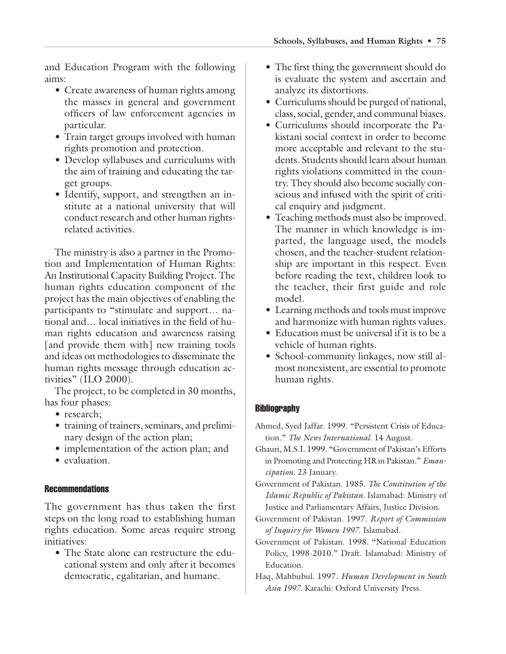and Education Program with the following aims:

- Create awareness of human rights among the masses in general and government officers of law enforcement agencies in particular.
- Train target groups involved with human rights promotion and protection.
- Develop syllabuses and curriculums with the aim of training and educating the target groups.
- Identify, support, and strengthen an institute at a national university that will conduct research and other human rightsrelated activities.

The ministry is also a partner in the Promotion and Implementation of Human Rights: An Institutional Capacity Building Project. The human rights education component of the project has the main objectives of enabling the participants to "stimulate and support… national and… local initiatives in the field of human rights education and awareness raising [and provide them with] new training tools and ideas on methodologies to disseminate the human rights message through education activities" (ILO 2000).

The project, to be completed in 30 months, has four phases:

- research:
- training of trainers, seminars, and preliminary design of the action plan;
- implementation of the action plan; and
- evaluation.

#### **Recommendations**

The government has thus taken the first steps on the long road to establishing human rights education. Some areas require strong initiatives:

• The State alone can restructure the educational system and only after it becomes democratic, egalitarian, and humane.

- The first thing the government should do is evaluate the system and ascertain and analyze its distortions.
- Curriculums should be purged of national, class, social, gender, and communal biases.
- Curriculums should incorporate the Pakistani social context in order to become more acceptable and relevant to the students. Students should learn about human rights violations committed in the country. They should also become socially conscious and infused with the spirit of critical enquiry and judgment.
- Teaching methods must also be improved. The manner in which knowledge is imparted, the language used, the models chosen, and the teacher-student relationship are important in this respect. Even before reading the text, children look to the teacher, their first guide and role model.
- Learning methods and tools must improve and harmonize with human rights values.
- Education must be universal if it is to be a vehicle of human rights.
- School-community linkages, now still almost nonexistent, are essential to promote human rights.

# **Bibliography**

- Ahmed, Syed Jaffar. 1999. "Persistent Crisis of Education." *The News International.* 14 August.
- Ghauri, M.S.I. 1999. "Government of Pakistan's Efforts in Promoting and Protecting HR in Pakistan." *Emancipation*. 23 January.
- Government of Pakistan. 1985. *The Constitution of the Islamic Republic of Pakistan.* Islamabad: Ministry of Justice and Parliamentary Affairs, Justice Division.
- Government of Pakistan. 1997. *Report of Commission of Inquiry for Women 1997.* Islamabad.
- Government of Pakistan. 1998. "National Education Policy, 1998-2010." Draft. Islamabad: Ministry of Education.
- Haq, Mahbubul. 1997. *Human Development in South Asia 1997.* Karachi: Oxford University Press.